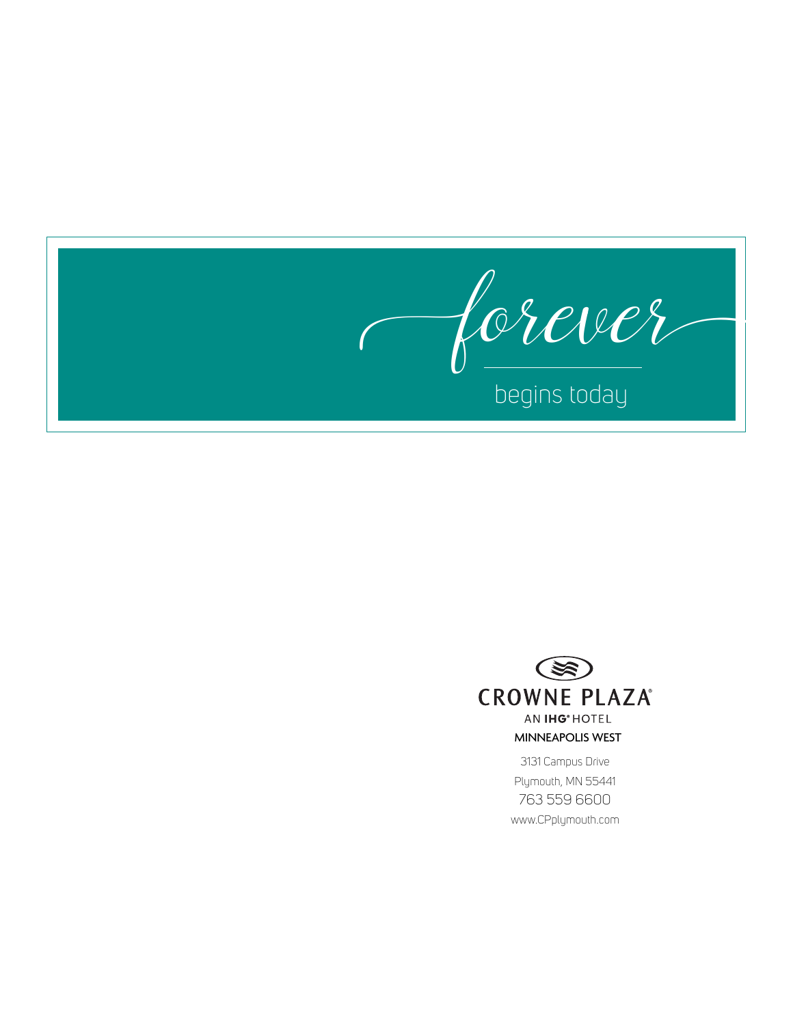

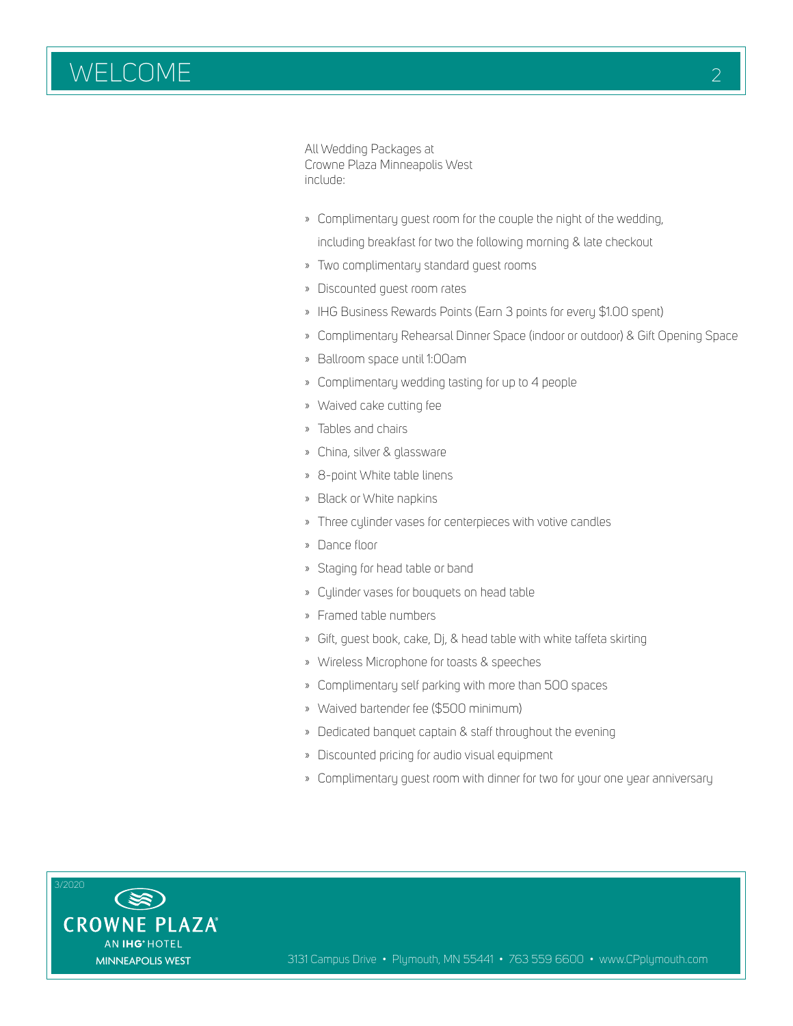All Wedding Packages at Crowne Plaza Minneapolis West include:

» Complimentary guest room for the couple the night of the wedding,

including breakfast for two the following morning & late checkout

- » Two complimentary standard guest rooms
- » Discounted guest room rates
- » IHG Business Rewards Points (Earn 3 points for every \$1.00 spent)
- » Complimentary Rehearsal Dinner Space (indoor or outdoor) & Gift Opening Space
- » Ballroom space until 1:00am
- » Complimentary wedding tasting for up to 4 people
- » Waived cake cutting fee
- » Tables and chairs
- » China, silver & glassware
- » 8-point White table linens
- » Black or White napkins
- » Three cylinder vases for centerpieces with votive candles
- » Dance floor
- » Staging for head table or band
- » Cylinder vases for bouquets on head table
- » Framed table numbers
- » Gift, guest book, cake, Dj, & head table with white taffeta skirting
- » Wireless Microphone for toasts & speeches
- » Complimentary self parking with more than 500 spaces
- » Waived bartender fee (\$500 minimum)
- » Dedicated banquet captain & staff throughout the evening
- » Discounted pricing for audio visual equipment
- » Complimentary guest room with dinner for two for your one year anniversary

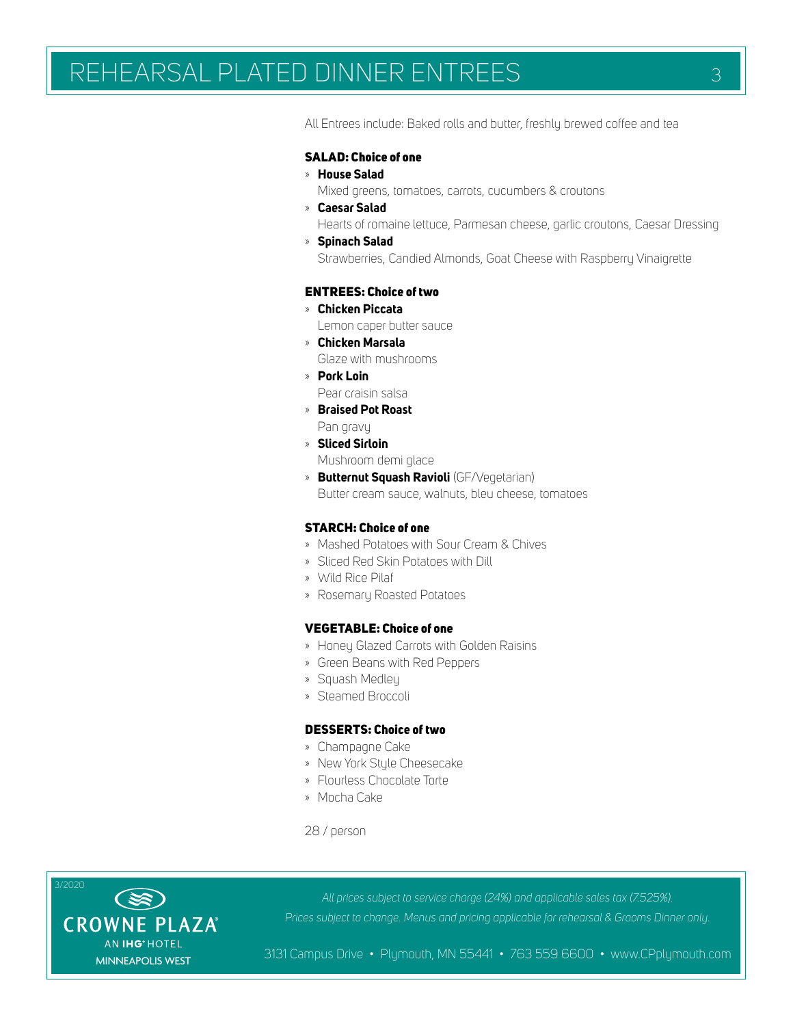# REHEARSAL PLATED DINNER ENTREES 3

All Entrees include: Baked rolls and butter, freshly brewed coffee and tea

#### SALAD: Choice of one

- » **House Salad**
- Mixed greens, tomatoes, carrots, cucumbers & croutons
- » **Caesar Salad** Hearts of romaine lettuce, Parmesan cheese, garlic croutons, Caesar Dressing
- » **Spinach Salad**

Strawberries, Candied Almonds, Goat Cheese with Raspberry Vinaigrette

### ENTREES: Choice of two

- » **Chicken Piccata** Lemon caper butter sauce
- » **Chicken Marsala** Glaze with mushrooms
- » **Pork Loin**
- Pear craisin salsa
- » **Braised Pot Roast**
- Pan gravy
- » **Sliced Sirloin**
	- Mushroom demi glace
- » **Butternut Squash Ravioli** (GF/Vegetarian) Butter cream sauce, walnuts, bleu cheese, tomatoes

### STARCH: Choice of one

- » Mashed Potatoes with Sour Cream & Chives
- » Sliced Red Skin Potatoes with Dill
- » Wild Rice Pilaf
- » Rosemary Roasted Potatoes

#### VEGETABLE: Choice of one

- » Honey Glazed Carrots with Golden Raisins
- » Green Beans with Red Peppers
- » Squash Medley
- » Steamed Broccoli

#### DESSERTS: Choice of two

- » Champagne Cake
- » New York Style Cheesecake
- » Flourless Chocolate Torte
- » Mocha Cake

28 / person



*All prices subject to service charge (24%) and applicable sales tax (7.525%). Prices subject to change. Menus and pricing applicable for rehearsal & Grooms Dinner only.*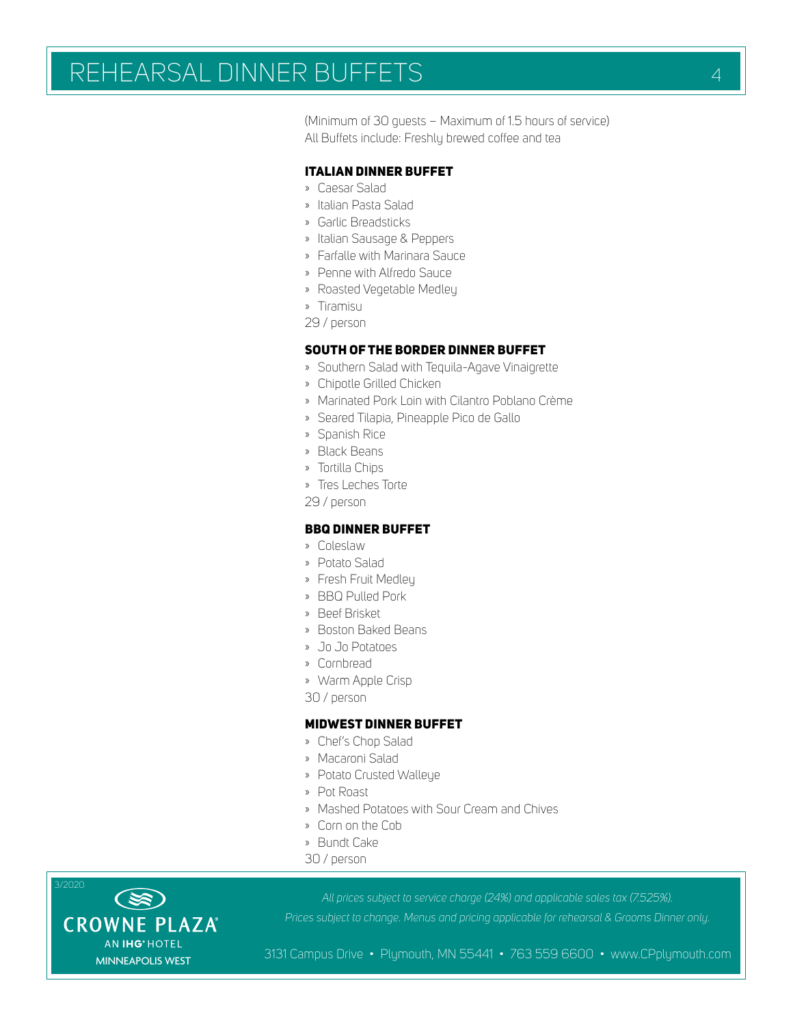# REHEARSAL DINNER BUFFETS 44

(Minimum of 30 guests – Maximum of 1.5 hours of service) All Buffets include: Freshly brewed coffee and tea

### ITALIAN DINNER BUFFET

- » Caesar Salad
- » Italian Pasta Salad
- » Garlic Breadsticks
- » Italian Sausage & Peppers
- » Farfalle with Marinara Sauce
- » Penne with Alfredo Sauce
- » Roasted Vegetable Medley
- » Tiramisu
- 29 / person

#### SOUTH OF THE BORDER DINNER BUFFET

- » Southern Salad with Tequila-Agave Vinaigrette
- » Chipotle Grilled Chicken
- » Marinated Pork Loin with Cilantro Poblano Crème
- » Seared Tilapia, Pineapple Pico de Gallo
- » Spanish Rice
- » Black Beans
- » Tortilla Chips
- » Tres Leches Torte
- 29 / person

### BBQ DINNER BUFFET

- » Coleslaw
- » Potato Salad
- » Fresh Fruit Medley
- » BBQ Pulled Pork
- » Beef Brisket
- » Boston Baked Beans
- » Jo Jo Potatoes
- » Cornbread
- » Warm Apple Crisp
- 30 / person

## MIDWEST DINNER BUFFET

- » Chef's Chop Salad
- » Macaroni Salad
- » Potato Crusted Walleye
- » Pot Roast
- » Mashed Potatoes with Sour Cream and Chives
- » Corn on the Cob
- » Bundt Cake
- 30 / person

*All prices subject to service charge (24%) and applicable sales tax (7.525%).*

*Prices subject to change. Menus and pricing applicable for rehearsal & Grooms Dinner only.*



3/2020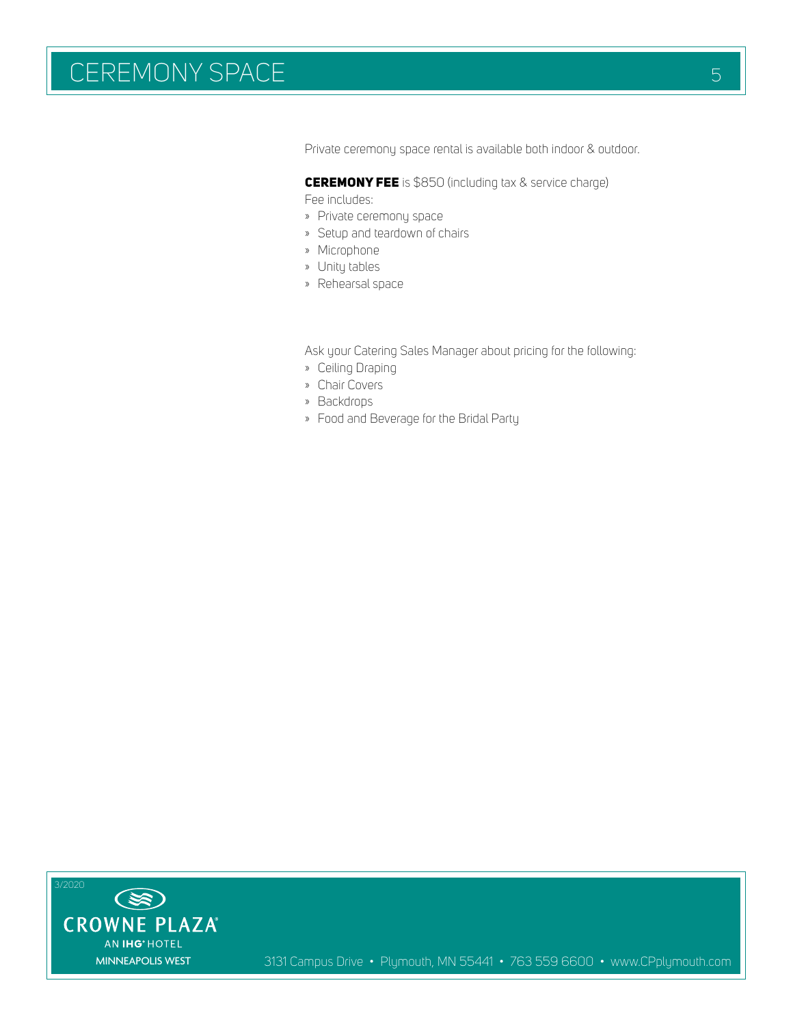# CEREMONY SPACE SERVICE SERVICE SERVICE SERVICE SERVICE SERVICE SERVICE SERVICE SERVICE SERVICE SERVICE SERVICE

Private ceremony space rental is available both indoor & outdoor.

CEREMONY FEE is \$850 (including tax & service charge)

Fee includes:

- » Private ceremony space
- » Setup and teardown of chairs
- » Microphone
- » Unity tables
- » Rehearsal space

Ask your Catering Sales Manager about pricing for the following:

- » Ceiling Draping
- » Chair Covers
- » Backdrops
- » Food and Beverage for the Bridal Party

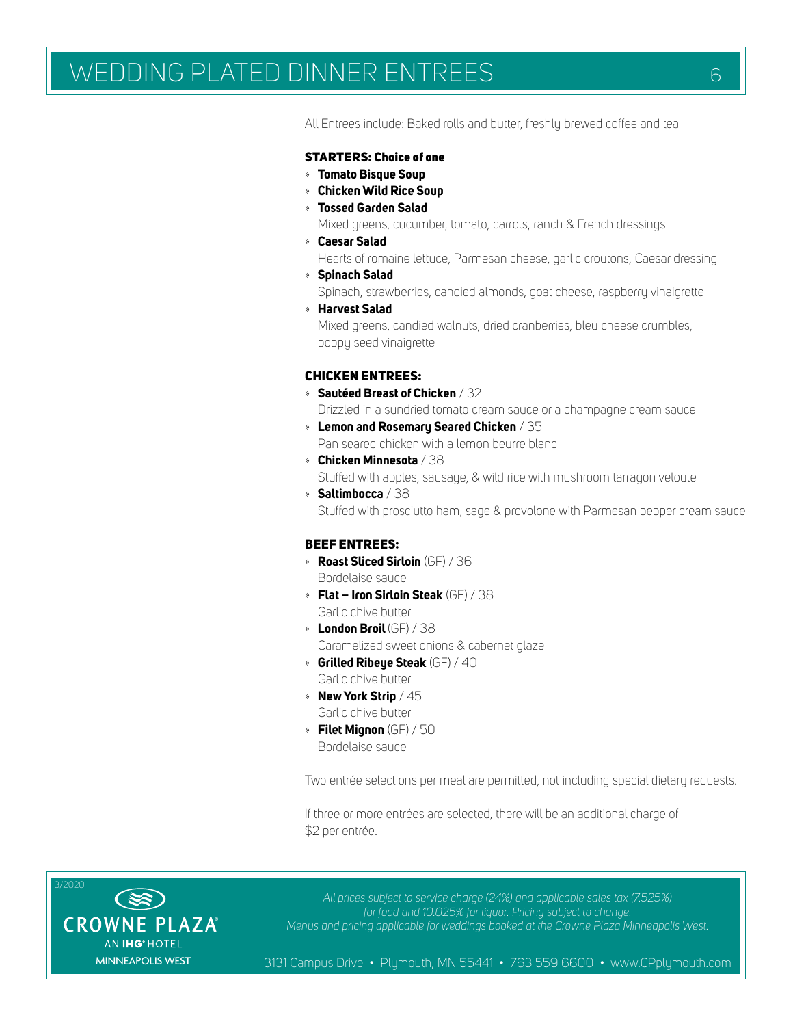# WEDDING PLATED DINNER ENTREES 66

All Entrees include: Baked rolls and butter, freshly brewed coffee and tea

#### STARTERS: Choice of one

- » **Tomato Bisque Soup**
- » **Chicken Wild Rice Soup**
- » **Tossed Garden Salad**

Mixed greens, cucumber, tomato, carrots, ranch & French dressings

» **Caesar Salad**

Hearts of romaine lettuce, Parmesan cheese, garlic croutons, Caesar dressing

- » **Spinach Salad** Spinach, strawberries, candied almonds, goat cheese, raspberry vinaigrette
- » **Harvest Salad**

Mixed greens, candied walnuts, dried cranberries, bleu cheese crumbles, poppy seed vinaigrette

#### CHICKEN ENTREES:

» **Sautéed Breast of Chicken** / 32

Drizzled in a sundried tomato cream sauce or a champagne cream sauce

- » **Lemon and Rosemary Seared Chicken** / 35 Pan seared chicken with a lemon beurre blanc
- » **Chicken Minnesota** / 38

Stuffed with apples, sausage, & wild rice with mushroom tarragon veloute

» **Saltimbocca** / 38 Stuffed with prosciutto ham, sage & provolone with Parmesan pepper cream sauce

### BEEF ENTREES:

- » **Roast Sliced Sirloin** (GF) / 36 Bordelaise sauce
- » **Flat Iron Sirloin Steak** (GF) / 38 Garlic chive butter
- » **London Broil** (GF) / 38 Caramelized sweet onions & cabernet glaze
- » **Grilled Ribeye Steak** (GF) / 40 Garlic chive butter
- » **New York Strip** / 45 Garlic chive butter
- » **Filet Mignon** (GF) / 50 Bordelaise sauce

Two entrée selections per meal are permitted, not including special dietary requests.

If three or more entrées are selected, there will be an additional charge of \$2 per entrée.



*All prices subject to service charge (24%) and applicable sales tax (7.525%) for food and 10.025% for liquor. Pricing subject to change. Menus and pricing applicable for weddings booked at the Crowne Plaza Minneapolis West.*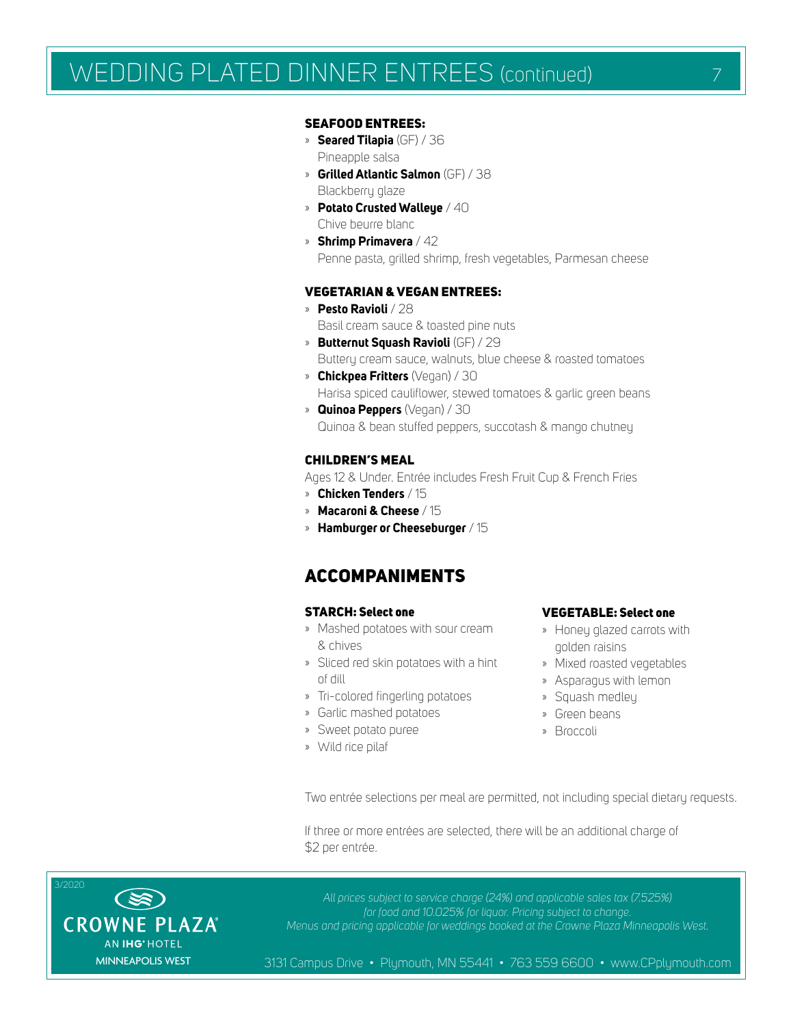# WEDDING PLATED DINNER ENTREES (continued)

#### SEAFOOD ENTREES:

- » **Seared Tilapia** (GF) / 36 Pineapple salsa
- » **Grilled Atlantic Salmon** (GF) / 38 Blackberry glaze
- » **Potato Crusted Walleye** / 40 Chive beurre blanc
- » **Shrimp Primavera** / 42 Penne pasta, grilled shrimp, fresh vegetables, Parmesan cheese

### VEGETARIAN & VEGAN ENTREES:

- » **Pesto Ravioli** / 28 Basil cream sauce & toasted pine nuts
- » **Butternut Squash Ravioli** (GF) / 29 Buttery cream sauce, walnuts, blue cheese & roasted tomatoes
- » **Chickpea Fritters** (Vegan) / 30 Harisa spiced cauliflower, stewed tomatoes & garlic green beans
- » **Quinoa Peppers** (Vegan) / 30 Quinoa & bean stuffed peppers, succotash & mango chutney

#### CHILDREN'S MEAL

Ages 12 & Under. Entrée includes Fresh Fruit Cup & French Fries

- » **Chicken Tenders** / 15
- » **Macaroni & Cheese** / 15
- » **Hamburger or Cheeseburger** / 15

# ACCOMPANIMENTS

#### STARCH: Select one

- » Mashed potatoes with sour cream & chives
- » Sliced red skin potatoes with a hint of dill
- » Tri-colored fingerling potatoes
- » Garlic mashed potatoes
- » Sweet potato puree
- » Wild rice pilaf

#### VEGETABLE: Select one

- » Honey glazed carrots with golden raisins
- » Mixed roasted vegetables
- » Asparagus with lemon
- » Squash medley
- » Green beans
- » Broccoli

Two entrée selections per meal are permitted, not including special dietary requests.

If three or more entrées are selected, there will be an additional charge of \$2 per entrée.



*All prices subject to service charge (24%) and applicable sales tax (7.525%) for food and 10.025% for liquor. Pricing subject to change. Menus and pricing applicable for weddings booked at the Crowne Plaza Minneapolis West.*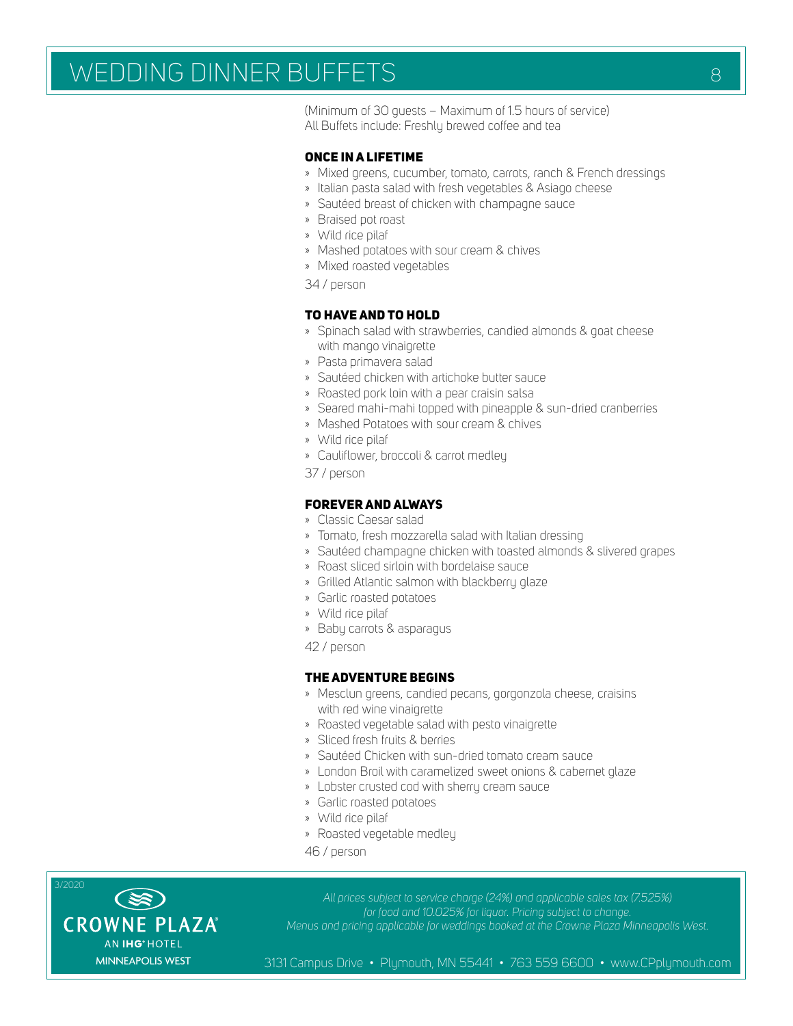# WEDDING DINNER BUFFETS AND RESERVE AND RESERVE AND RESERVE AND RESERVE AND RESERVE AND RESERVE AND RESERVE AND

(Minimum of 30 guests – Maximum of 1.5 hours of service)

All Buffets include: Freshly brewed coffee and tea

#### ONCE IN A LIFETIME

- » Mixed greens, cucumber, tomato, carrots, ranch & French dressings
- » Italian pasta salad with fresh vegetables & Asiago cheese
- » Sautéed breast of chicken with champagne sauce
- » Braised pot roast
- » Wild rice pilaf
- » Mashed potatoes with sour cream & chives
- » Mixed roasted vegetables
- 34 / person

# TO HAVE AND TO HOLD

- » Spinach salad with strawberries, candied almonds & goat cheese with mango vinaigrette
- » Pasta primavera salad
- » Sautéed chicken with artichoke butter sauce
- » Roasted pork loin with a pear craisin salsa
- » Seared mahi-mahi topped with pineapple & sun-dried cranberries
- » Mashed Potatoes with sour cream & chives
- » Wild rice pilaf
- » Cauliflower, broccoli & carrot medley

37 / person

# FOREVER AND ALWAYS

- » Classic Caesar salad
- » Tomato, fresh mozzarella salad with Italian dressing
- » Sautéed champagne chicken with toasted almonds & slivered grapes
- » Roast sliced sirloin with bordelaise sauce
- » Grilled Atlantic salmon with blackberry glaze
- » Garlic roasted potatoes
- » Wild rice pilaf
- » Baby carrots & asparagus
- 42 / person

#### THE ADVENTURE BEGINS

- » Mesclun greens, candied pecans, gorgonzola cheese, craisins with red wine vinaigrette
- » Roasted vegetable salad with pesto vinaigrette
- » Sliced fresh fruits & berries
- » Sautéed Chicken with sun-dried tomato cream sauce
- » London Broil with caramelized sweet onions & cabernet glaze
- » Lobster crusted cod with sherry cream sauce
- » Garlic roasted potatoes
- » Wild rice pilaf
- » Roasted vegetable medley
- 46 / person



*All prices subject to service charge (24%) and applicable sales tax (7.525%) for food and 10.025% for liquor. Pricing subject to change. Menus and pricing applicable for weddings booked at the Crowne Plaza Minneapolis West.*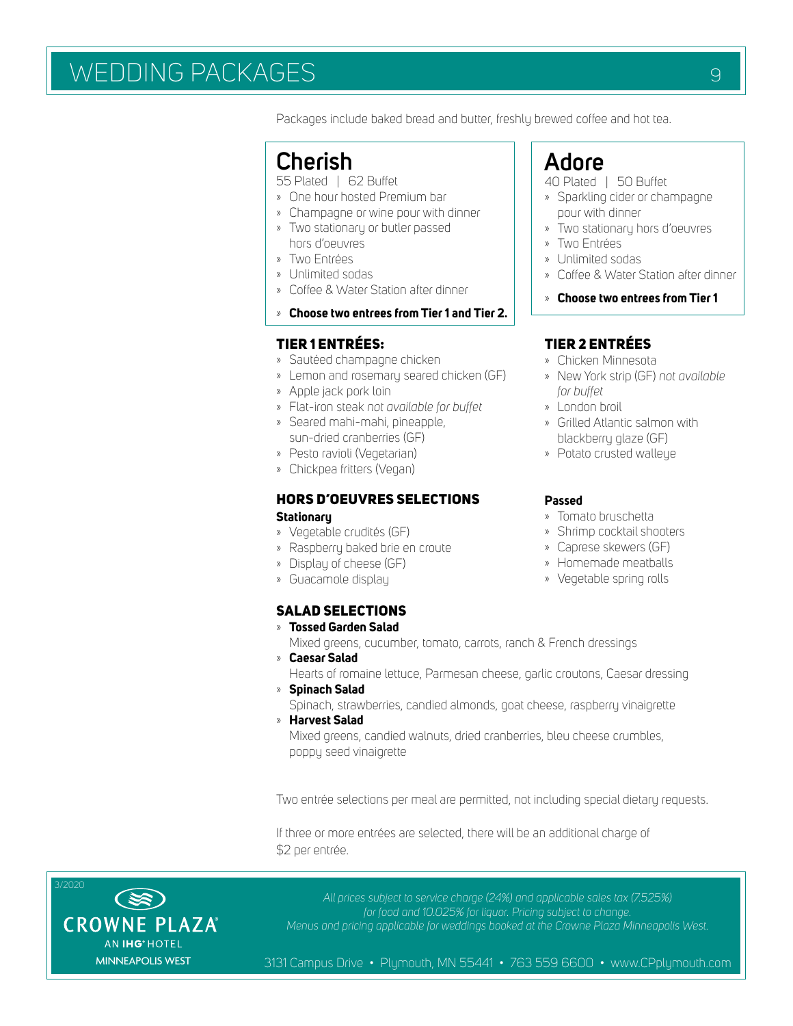# WEDDING PACKAGES AND RESIDENCE OF A STREET OF REAL PROPERTY.

Packages include baked bread and butter, freshly brewed coffee and hot tea.

# **Cherish**

55 Plated | 62 Buffet

- » One hour hosted Premium bar
- » Champagne or wine pour with dinner » Two stationary or butler passed
- hors d'oeuvres » Two Entrées
- » Unlimited sodas
- » Coffee & Water Station after dinner
- *»* **Choose two entrees from Tier 1 and Tier 2.**

# TIER 1 ENTRÉES:

- » Sautéed champagne chicken
- » Lemon and rosemary seared chicken (GF)
- » Apple jack pork loin
- » Flat-iron steak *not available for buffet*
- » Seared mahi-mahi, pineapple, sun-dried cranberries (GF)
- » Pesto ravioli (Vegetarian)
- » Chickpea fritters (Vegan)

# HORS D'OEUVRES SELECTIONS **Stationary**

- » Vegetable crudités (GF)
- » Raspberry baked brie en croute
- » Display of cheese (GF)
- » Guacamole display

# SALAD SELECTIONS

» **Tossed Garden Salad**

Mixed greens, cucumber, tomato, carrots, ranch & French dressings

- » **Caesar Salad** Hearts of romaine lettuce, Parmesan cheese, garlic croutons, Caesar dressing » **Spinach Salad**
- Spinach, strawberries, candied almonds, goat cheese, raspberry vinaigrette
- » **Harvest Salad** Mixed greens, candied walnuts, dried cranberries, bleu cheese crumbles, poppy seed vinaigrette

Two entrée selections per meal are permitted, not including special dietary requests.

If three or more entrées are selected, there will be an additional charge of \$2 per entrée.



*All prices subject to service charge (24%) and applicable sales tax (7.525%) for food and 10.025% for liquor. Pricing subject to change. Menus and pricing applicable for weddings booked at the Crowne Plaza Minneapolis West.*

3131 Campus Drive • Plymouth, MN 55441 • 763 559 6600 • www.CPplymouth.com

# **Adore**

# 40 Plated | 50 Buffet

- » Sparkling cider or champagne pour with dinner
- » Two stationary hors d'oeuvres
- » Two Entrées
- » Unlimited sodas
- » Coffee & Water Station after dinner
- » **Choose two entrees from Tier 1**

# TIER 2 ENTRÉES

- » Chicken Minnesota
- » New York strip (GF) *not available for buffet*
- » London broil
- » Grilled Atlantic salmon with blackberry glaze (GF)
- » Potato crusted walleye

#### **Passed**

- » Tomato bruschetta
- » Shrimp cocktail shooters
- » Caprese skewers (GF)
- » Homemade meatballs
- » Vegetable spring rolls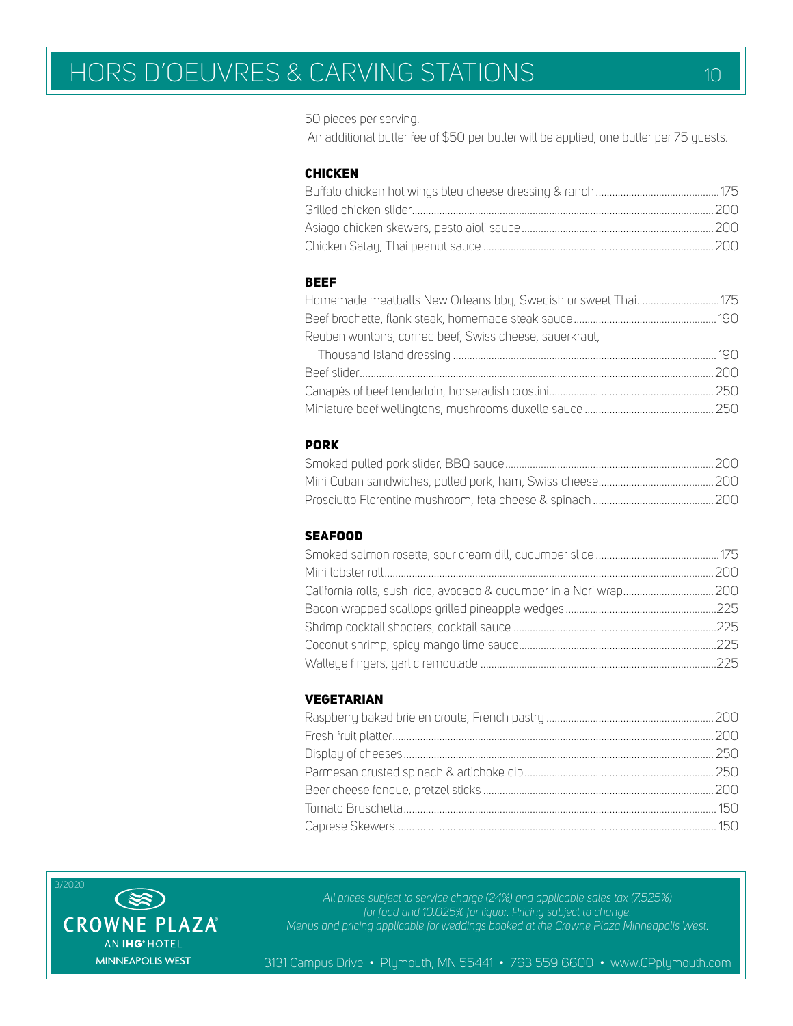50 pieces per serving.

An additional butler fee of \$50 per butler will be applied, one butler per 75 guests.

### CHICKEN

## BEEF

| Reuben wontons, corned beef, Swiss cheese, sauerkraut, |  |
|--------------------------------------------------------|--|
|                                                        |  |
|                                                        |  |
|                                                        |  |
|                                                        |  |

# PORK

### SEAFOOD

# VEGETARIAN



*All prices subject to service charge (24%) and applicable sales tax (7.525%) for food and 10.025% for liquor. Pricing subject to change. Menus and pricing applicable for weddings booked at the Crowne Plaza Minneapolis West.*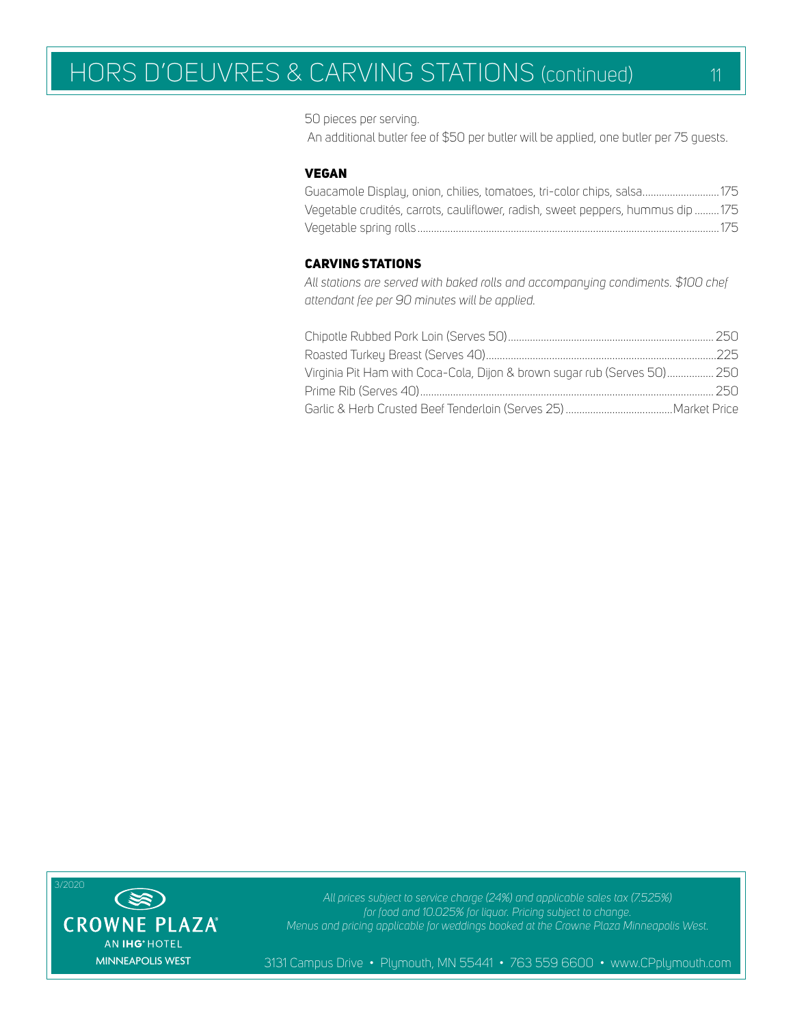# HORS D'OEUVRES & CARVING STATIONS (continued) 11

50 pieces per serving.

An additional butler fee of \$50 per butler will be applied, one butler per 75 guests.

### VEGAN

| Guacamole Display, onion, chilies, tomatoes, tri-color chips, salsa 175          |  |
|----------------------------------------------------------------------------------|--|
| Vegetable crudités, carrots, cauliflower, radish, sweet peppers, hummus dip  175 |  |
|                                                                                  |  |

### CARVING STATIONS

*All stations are served with baked rolls and accompanying condiments. \$100 chef attendant fee per 90 minutes will be applied.*

| Virginia Pit Ham with Coca-Cola, Dijon & brown sugar rub (Serves 50) 250 |  |
|--------------------------------------------------------------------------|--|
|                                                                          |  |
|                                                                          |  |



*All prices subject to service charge (24%) and applicable sales tax (7.525%) for food and 10.025% for liquor. Pricing subject to change. Menus and pricing applicable for weddings booked at the Crowne Plaza Minneapolis West.*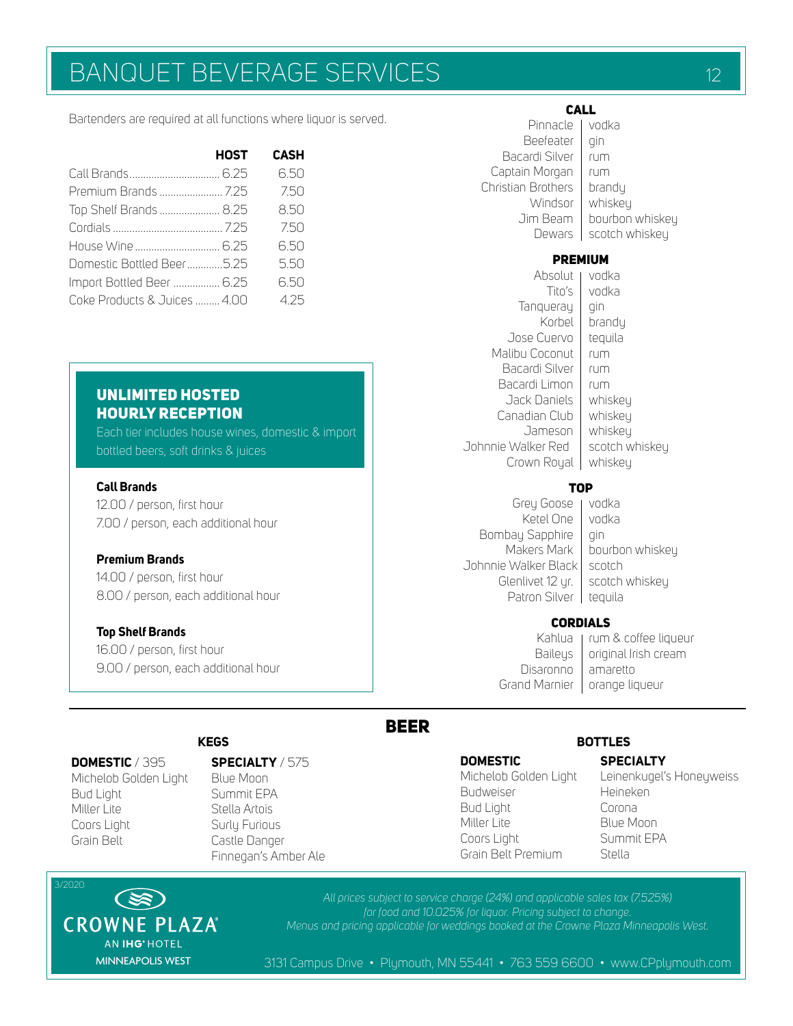# BANQUET BEVERAGE SERVICES **12** 12

Bartenders are required at all functions where liquor is served.

|                              | <b>HOST</b> | <b>CASH</b> |
|------------------------------|-------------|-------------|
|                              |             | 650         |
|                              |             | 7.50        |
| Top Shelf Brands  8.25       |             | 8.50        |
|                              |             | 7.50        |
|                              |             | 650         |
| Domestic Bottled Beer5.25    |             | 550         |
| Import Bottled Beer  6.25    |             | 6.50        |
| Coke Products & Juices  4.00 |             | 425         |

# UNLIMITED HOSTED HOURLY RECEPTION

Each tier includes house wines, domestic & import bottled beers, soft drinks & juices

## **Call Brands**

12.00 / person, first hour 7.00 / person, each additional hour

## **Premium Brands**

14.00 / person, first hour 8.00 / person, each additional hour

#### **Top Shelf Brands**

16.00 / person, first hour 9.00 / person, each additional hour

#### CALL Pinnacle vodka

| Beefeater<br>Bacardi Silver<br>Captain Morgan<br>Christian Brothers<br>Windsor<br>Jim Beam<br>Dewars | qin<br>rum<br>rum<br>brandy<br>whiskey<br>bourbon whiskey<br>scotch whiskey |
|------------------------------------------------------------------------------------------------------|-----------------------------------------------------------------------------|
| <b>PREMIUM</b><br>Absolut                                                                            | vodka                                                                       |
| Tito's                                                                                               | vodka                                                                       |
| Tanqueray<br>Korbel                                                                                  | qin<br>brandy                                                               |
| Jose Cuervo<br>Malibu Coconut                                                                        | tequila<br>rum                                                              |
| Bacardi Silver                                                                                       | rum                                                                         |
| Bacardi Limon                                                                                        | rum                                                                         |
| Jack Daniels<br>Canadian Club                                                                        | whiskey<br>whiskey                                                          |
| Jameson                                                                                              | whiskey                                                                     |
| Johnnie Walker Red<br>Crown Royal                                                                    | scotch whiskey<br>whiskey                                                   |
|                                                                                                      |                                                                             |

# **TOP**

Grey Goose | vodka Ketel One Vodka Bombay Sapphire | gin Johnnie Walker Black | scotch Glenlivet 12 yr. | scotch whiskey Patron Silver | tequila

Makers Mark | bourbon whiskey

#### CORDIALS

Kahlua | rum & coffee liqueur Baileys  $\vert$  original Irish cream Disaronno | amaretto Grand Marnier | orange liqueur

# BEER

#### **DOMESTIC** / 395

Michelob Golden Light Bud Light Miller Lite Coors Light Grain Belt

# **SPECIALTY** / 575

Blue Moon Summit EPA Stella Artois Surly Furious Castle Danger Finnegan's Amber Ale

#### **DOMESTIC**

Michelob Golden Light Budweiser Bud Light Miller Lite Coors Light Grain Belt Premium

# **KEGS BOTTLES**

# **SPECIALTY**

Leinenkugel's Honeyweiss Heineken Corona Blue Moon Summit EPA Stella

3/2020 **ES) CROWNE PLAZA** AN IHG<sup>®</sup> HOTEL MINNEAPOLIS WEST

*All prices subject to service charge (24%) and applicable sales tax (7.525%) for food and 10.025% for liquor. Pricing subject to change. Menus and pricing applicable for weddings booked at the Crowne Plaza Minneapolis West.*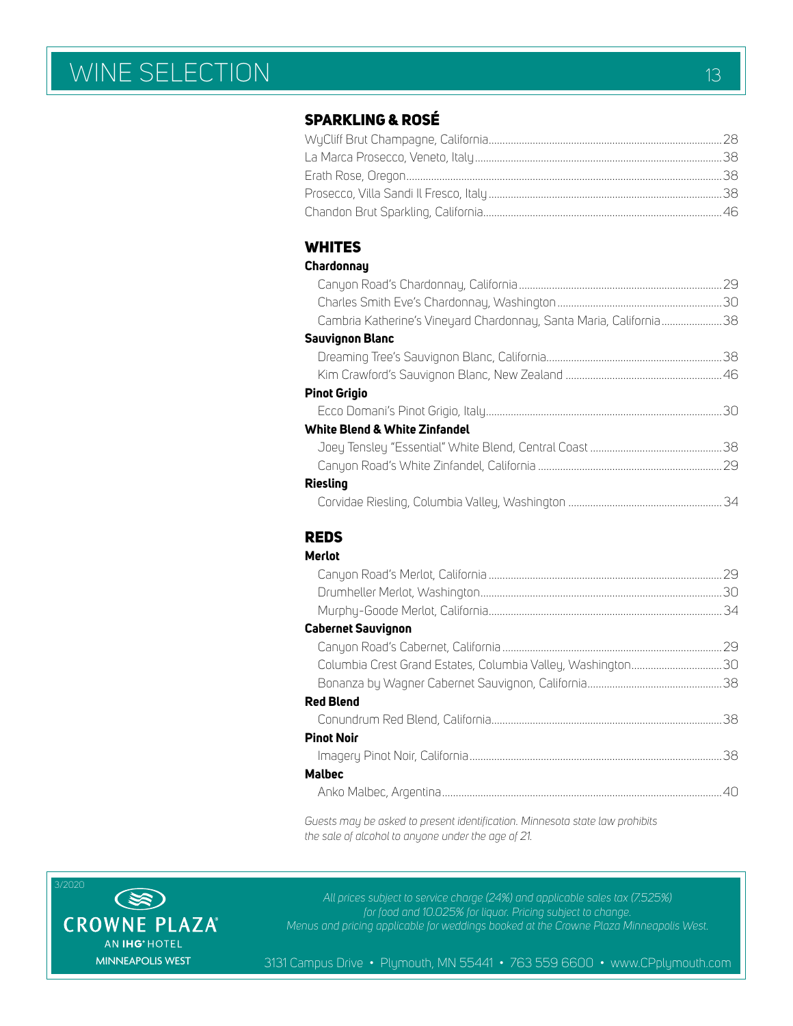# WINE SELECTION 13

# SPARKLING & ROSÉ

# **WHITES**

# **Chardonnay**

|                                                                    | .29 |
|--------------------------------------------------------------------|-----|
|                                                                    |     |
| Cambria Katherine's Vineyard Chardonnay, Santa Maria, California38 |     |
| <b>Sauvignon Blanc</b>                                             |     |
|                                                                    |     |
|                                                                    |     |
| <b>Pinot Grigio</b>                                                |     |
|                                                                    |     |
| White Blend & White Zinfandel                                      |     |
|                                                                    |     |
|                                                                    |     |
| <b>Riesling</b>                                                    |     |
|                                                                    |     |

# REDS

| Merlot |  |
|--------|--|
|        |  |

|                                                             | 30  |
|-------------------------------------------------------------|-----|
|                                                             | -34 |
| <b>Cabernet Sauvignon</b>                                   |     |
|                                                             | 29  |
| Columbia Crest Grand Estates, Columbia Valley, Washington30 |     |
|                                                             |     |
| <b>Red Blend</b>                                            |     |
|                                                             | 38  |
| <b>Pinot Noir</b>                                           |     |
|                                                             | -38 |
| <b>Malbec</b>                                               |     |
|                                                             |     |
|                                                             |     |

*Guests may be asked to present identification. Minnesota state law prohibits the sale of alcohol to anyone under the age of 21.*



*All prices subject to service charge (24%) and applicable sales tax (7.525%) for food and 10.025% for liquor. Pricing subject to change. Menus and pricing applicable for weddings booked at the Crowne Plaza Minneapolis West.*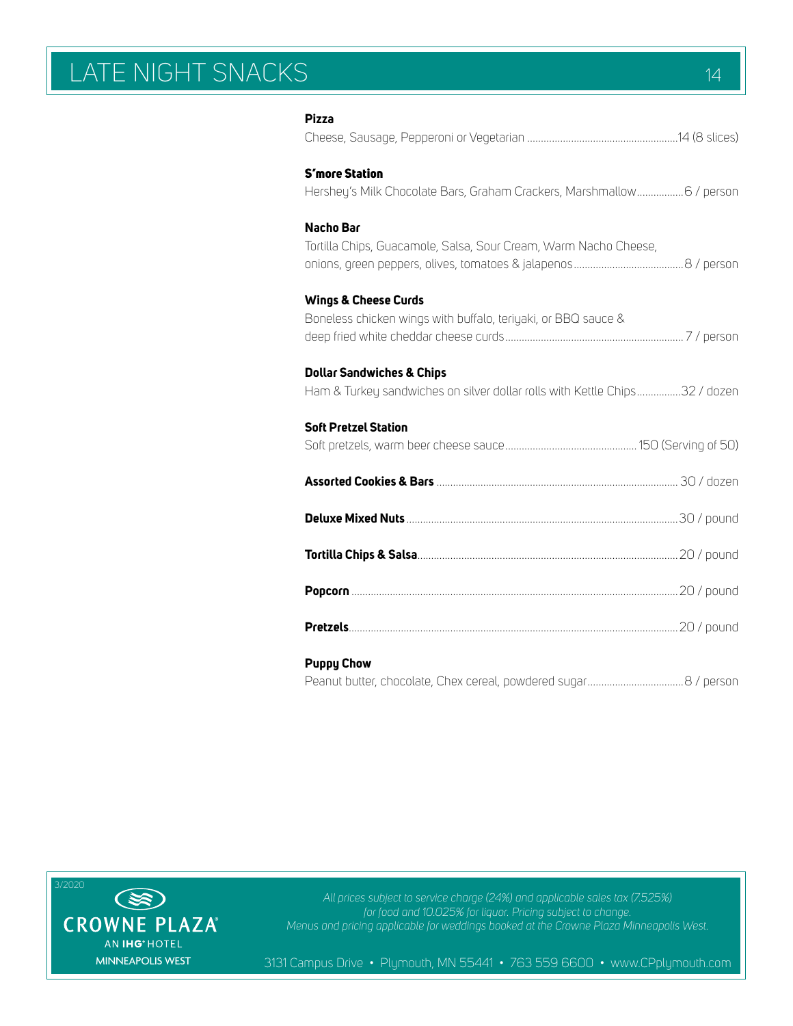# LATE NIGHT SNACKS 14

| <b>Pizza</b>                                                                                                       |  |
|--------------------------------------------------------------------------------------------------------------------|--|
| <b>S'more Station</b><br>Hershey's Milk Chocolate Bars, Graham Crackers, Marshmallow 6 / person                    |  |
| Nacho Bar<br>Tortilla Chips, Guacamole, Salsa, Sour Cream, Warm Nacho Cheese,                                      |  |
| <b>Wings &amp; Cheese Curds</b><br>Boneless chicken wings with buffalo, teriyaki, or BBQ sauce &                   |  |
| <b>Dollar Sandwiches &amp; Chips</b><br>Ham & Turkey sandwiches on silver dollar rolls with Kettle Chips32 / dozen |  |
| <b>Soft Pretzel Station</b>                                                                                        |  |
|                                                                                                                    |  |
|                                                                                                                    |  |
|                                                                                                                    |  |
|                                                                                                                    |  |
|                                                                                                                    |  |
| <b>Puppy Chow</b>                                                                                                  |  |



*All prices subject to service charge (24%) and applicable sales tax (7.525%) for food and 10.025% for liquor. Pricing subject to change. Menus and pricing applicable for weddings booked at the Crowne Plaza Minneapolis West.*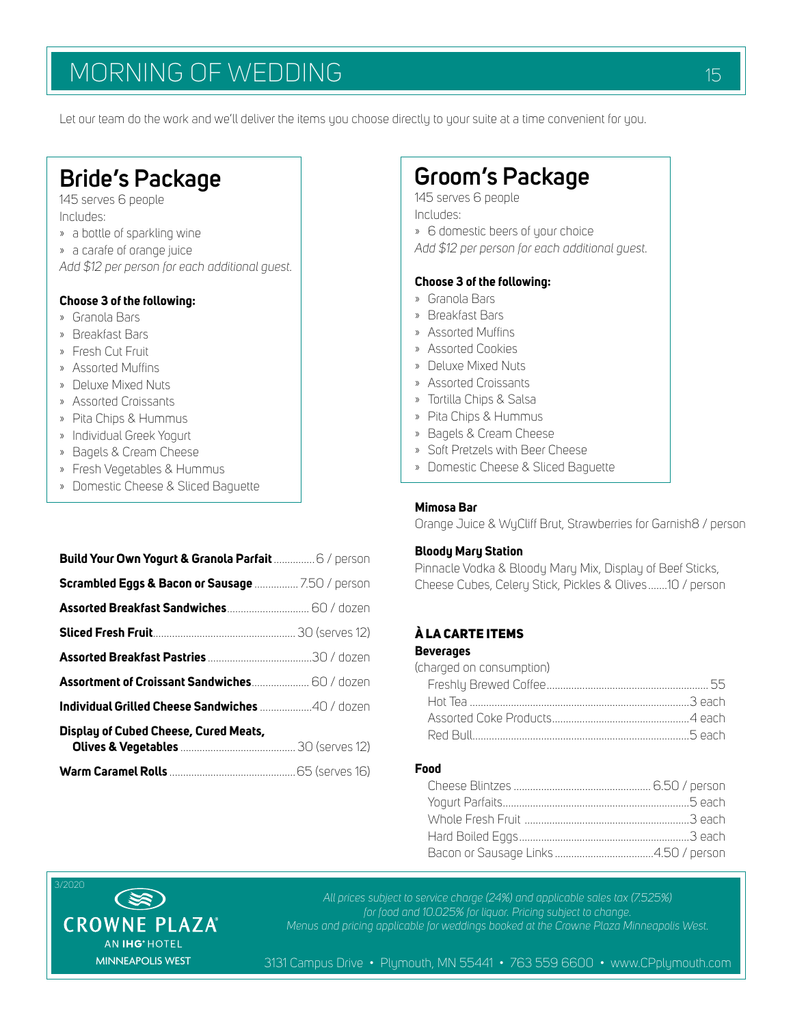# MORNING OF WEDDING 15 1999 AND 15

Let our team do the work and we'll deliver the items you choose directly to your suite at a time convenient for you.

# **Bride's Package** 145 serves 6 people

Includes:

- » a bottle of sparkling wine
- » a carafe of orange juice

*Add \$12 per person for each additional guest.*

# **Choose 3 of the following:**

- » Granola Bars
- » Breakfast Bars
- » Fresh Cut Fruit
- » Assorted Muffins
- » Deluxe Mixed Nuts
- » Assorted Croissants
- » Pita Chips & Hummus
- » Individual Greek Yogurt
- » Bagels & Cream Cheese
- » Fresh Vegetables & Hummus
- » Domestic Cheese & Sliced Baguette

| Build Your Own Yogurt & Granola Parfait  6 / person |  |
|-----------------------------------------------------|--|
| Scrambled Eggs & Bacon or Sausage  7.50 / person    |  |
|                                                     |  |
|                                                     |  |
|                                                     |  |
| Assortment of Croissant Sandwiches 60 / dozen       |  |
| Individual Grilled Cheese Sandwiches 40 / dozen     |  |
| Display of Cubed Cheese, Cured Meats,               |  |
|                                                     |  |

# **Groom's Package**

145 serves 6 people Includes:

» 6 domestic beers of your choice

*Add \$12 per person for each additional guest.*

### **Choose 3 of the following:**

- » Granola Bars
- » Breakfast Bars
- » Assorted Muffins
- » Assorted Cookies
- » Deluxe Mixed Nuts
- » Assorted Croissants
- » Tortilla Chips & Salsa
- » Pita Chips & Hummus
- » Bagels & Cream Cheese
- » Soft Pretzels with Beer Cheese
- » Domestic Cheese & Sliced Baguette

# **Mimosa Bar**

Orange Juice & WyCliff Brut, Strawberries for Garnish8 / person

#### **Bloody Mary Station**

Pinnacle Vodka & Bloody Mary Mix, Display of Beef Sticks, Cheese Cubes, Celery Stick, Pickles & Olives.......10 / person

# À LA CARTE ITEMS

### **Beverages**

| (charged on consumption) |  |
|--------------------------|--|
|                          |  |
|                          |  |
|                          |  |
|                          |  |
|                          |  |

## **Food**



*All prices subject to service charge (24%) and applicable sales tax (7.525%) for food and 10.025% for liquor. Pricing subject to change. Menus and pricing applicable for weddings booked at the Crowne Plaza Minneapolis West.*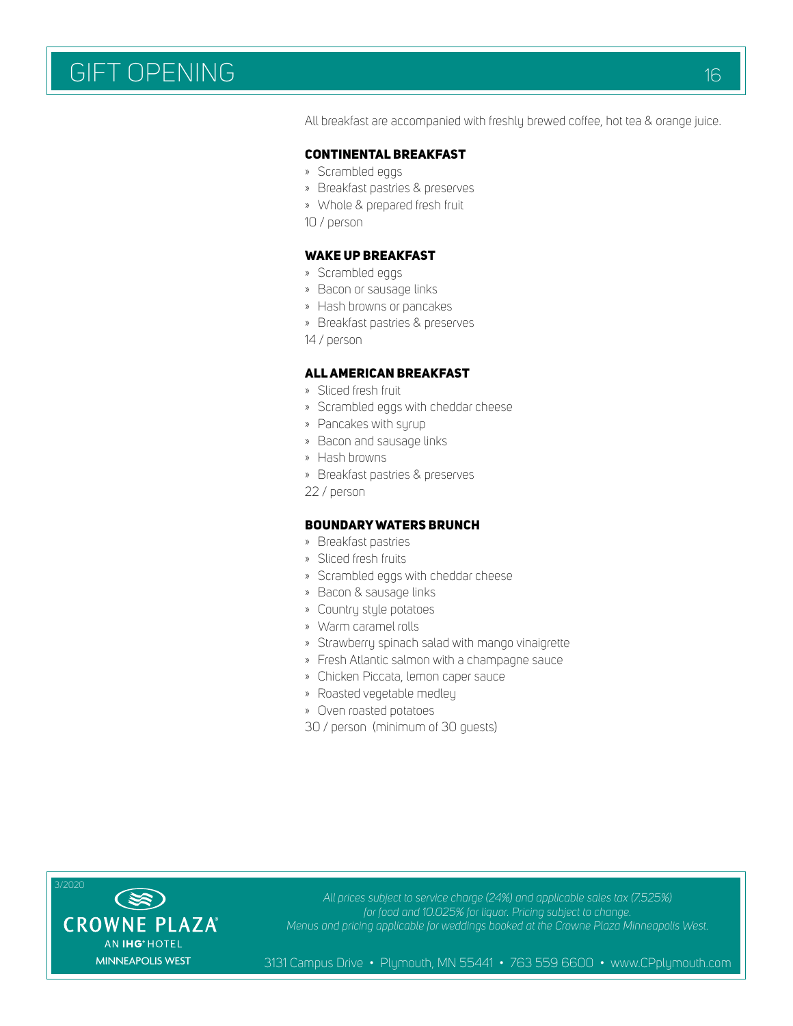# GIFT OPENING THE CONTROL OF THE CONTROL OF THE CONTROL OF THE CONTROL OF THE CONTROL OF THE CONTROL OF THE CONTROL OF THE CONTROL OF THE CONTROL OF THE CONTROL OF THE CONTROL OF THE CONTROL OF THE CONTROL OF THE CONTROL OF

All breakfast are accompanied with freshly brewed coffee, hot tea & orange juice.

#### CONTINENTAL BREAKFAST

- » Scrambled eggs
- » Breakfast pastries & preserves
- » Whole & prepared fresh fruit
- 10 / person

### WAKE UP BREAKFAST

- » Scrambled eggs
- » Bacon or sausage links
- » Hash browns or pancakes
- » Breakfast pastries & preserves
- 14 / person

#### ALL AMERICAN BREAKFAST

- » Sliced fresh fruit
- » Scrambled eggs with cheddar cheese
- » Pancakes with syrup
- » Bacon and sausage links
- » Hash browns
- » Breakfast pastries & preserves
- 22 / person

#### BOUNDARY WATERS BRUNCH

- » Breakfast pastries
- » Sliced fresh fruits
- » Scrambled eggs with cheddar cheese
- » Bacon & sausage links
- » Country style potatoes
- » Warm caramel rolls
- » Strawberry spinach salad with mango vinaigrette
- » Fresh Atlantic salmon with a champagne sauce
- » Chicken Piccata, lemon caper sauce
- » Roasted vegetable medley
- » Oven roasted potatoes
- 30 / person (minimum of 30 guests)



*All prices subject to service charge (24%) and applicable sales tax (7.525%) for food and 10.025% for liquor. Pricing subject to change. Menus and pricing applicable for weddings booked at the Crowne Plaza Minneapolis West.*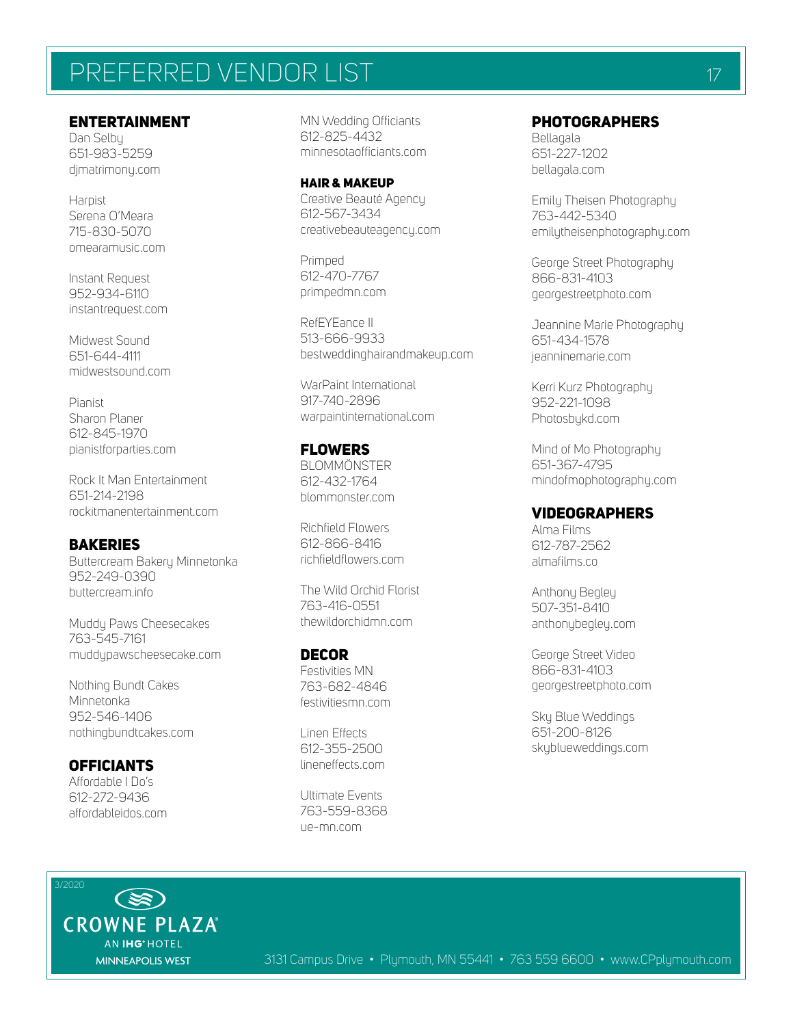# PREFERRED VENDOR LIST THE CONTROL CONTROL TO A 17

# ENTERTAINMENT

Dan Selby 651-983-5259 djmatrimony.com

Harpist Serena O'Meara 715-830-5070 omearamusic.com

Instant Request 952-934-6110 instantrequest.com

Midwest Sound 651-644-4111 midwestsound.com

Pianist Sharon Planer 612-845-1970 pianistforparties.com

Rock It Man Entertainment 651-214-2198 rockitmanentertainment.com

# **BAKERIES**

Buttercream Bakery Minnetonka 952-249-0390 buttercream.info

Muddu Paws Cheesecakes 763-545-7161 muddypawscheesecake.com

Nothing Bundt Cakes Minnetonka 952-546-1406 nothingbundtcakes.com

**OFFICIANTS** Affordable I Do's 612-272-9436 affordableidos.com MN Wedding Officiants 612-825-4432 minnesotaofficiants.com

HAIR & MAKEUP Creative Beauté Agency 612-567-3434 creativebeauteagency.com

Primped 612-470-7767 primpedmn.com

RefEYEance II 513-666-9933 bestweddinghairandmakeup.com

WarPaint International 917-740-2896 warpaintinternational.com

# FLOWERS

**BLOMMÖNSTER** 612-432-1764 blommonster.com

Richfield Flowers 612-866-8416 richfieldflowers.com

The Wild Orchid Florist 763-416-0551 thewildorchidmn.com

DECOR Festivities MN 763-682-4846 festivitiesmn.com

Linen Effects 612-355-2500 lineneffects.com

Ultimate Events 763-559-8368 ue-mn.com

# PHOTOGRAPHERS

Bellagala 651-227-1202 bellagala.com

Emily Theisen Photography 763-442-5340 emilytheisenphotography.com

George Street Photography 866-831-4103 georgestreetphoto.com

Jeannine Marie Photography 651-434-1578 jeanninemarie.com

Kerri Kurz Photography 952-221-1098 Photosbykd.com

Mind of Mo Photography 651-367-4795 mindofmophotography.com

### VIDEOGRAPHERS

Alma Films 612-787-2562 almafilms.co

Anthony Begley 507-351-8410 anthonybegley.com

George Street Video 866-831-4103 georgestreetphoto.com

Sky Blue Weddings 651-200-8126 skyblueweddings.com

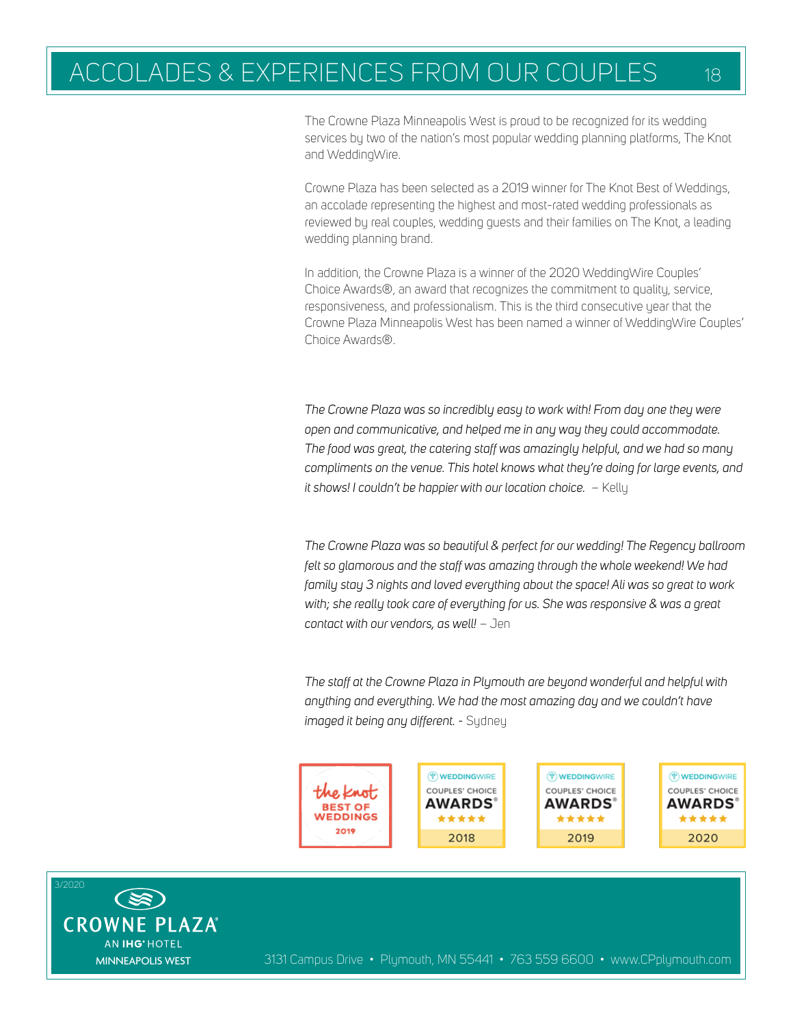# ACCOLADES & EXPERIENCES FROM OUR COUPLES 18

The Crowne Plaza Minneapolis West is proud to be recognized for its wedding services by two of the nation's most popular wedding planning platforms, The Knot and WeddingWire.

Crowne Plaza has been selected as a 2019 winner for The Knot Best of Weddings, an accolade representing the highest and most-rated wedding professionals as reviewed by real couples, wedding guests and their families on The Knot, a leading wedding planning brand.

In addition, the Crowne Plaza is a winner of the 2020 WeddingWire Couples' Choice Awards®, an award that recognizes the commitment to quality, service, responsiveness, and professionalism. This is the third consecutive year that the Crowne Plaza Minneapolis West has been named a winner of WeddingWire Couples' Choice Awards®.

*The Crowne Plaza was so incredibly easy to work with! From day one they were open and communicative, and helped me in any way they could accommodate. The food was great, the catering staff was amazingly helpful, and we had so many compliments on the venue. This hotel knows what they're doing for large events, and it shows! I couldn't be happier with our location choice.* – Kelly

*The Crowne Plaza was so beautiful & perfect for our wedding! The Regency ballroom*  felt so glamorous and the staff was amazing through the whole weekend! We had *family stay 3 nights and loved everything about the space! Ali was so great to work with; she really took care of everything for us. She was responsive & was a great contact with our vendors, as well!* – Jen

*The staff at the Crowne Plaza in Plymouth are beyond wonderful and helpful with anything and everything. We had the most amazing day and we couldn't have imaged it being any different. -* Sydney